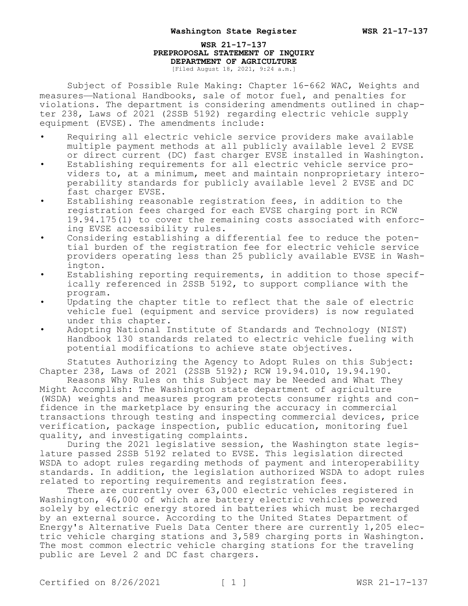## **WSR 21-17-137 PREPROPOSAL STATEMENT OF INQUIRY DEPARTMENT OF AGRICULTURE** [Filed August 18, 2021, 9:24 a.m.]

Subject of Possible Rule Making: Chapter 16-662 WAC, Weights and measures—National Handbooks, sale of motor fuel, and penalties for violations. The department is considering amendments outlined in chapter 238, Laws of 2021 (2SSB 5192) regarding electric vehicle supply equipment (EVSE). The amendments include:

- Requiring all electric vehicle service providers make available multiple payment methods at all publicly available level 2 EVSE or direct current (DC) fast charger EVSE installed in Washington.
- Establishing requirements for all electric vehicle service providers to, at a minimum, meet and maintain nonproprietary interoperability standards for publicly available level 2 EVSE and DC fast charger EVSE.
- Establishing reasonable registration fees, in addition to the registration fees charged for each EVSE charging port in RCW 19.94.175(1) to cover the remaining costs associated with enforcing EVSE accessibility rules.
- Considering establishing a differential fee to reduce the potential burden of the registration fee for electric vehicle service providers operating less than 25 publicly available EVSE in Washington.
- Establishing reporting requirements, in addition to those specifically referenced in 2SSB 5192, to support compliance with the program.
- Updating the chapter title to reflect that the sale of electric vehicle fuel (equipment and service providers) is now regulated under this chapter.
- Adopting National Institute of Standards and Technology (NIST) Handbook 130 standards related to electric vehicle fueling with potential modifications to achieve state objectives.

Statutes Authorizing the Agency to Adopt Rules on this Subject: Chapter 238, Laws of 2021 (2SSB 5192); RCW 19.94.010, 19.94.190.

Reasons Why Rules on this Subject may be Needed and What They Might Accomplish: The Washington state department of agriculture (WSDA) weights and measures program protects consumer rights and confidence in the marketplace by ensuring the accuracy in commercial transactions through testing and inspecting commercial devices, price verification, package inspection, public education, monitoring fuel quality, and investigating complaints.

During the 2021 legislative session, the Washington state legislature passed 2SSB 5192 related to EVSE. This legislation directed WSDA to adopt rules regarding methods of payment and interoperability standards. In addition, the legislation authorized WSDA to adopt rules related to reporting requirements and registration fees.

There are currently over 63,000 electric vehicles registered in Washington, 46,000 of which are battery electric vehicles powered solely by electric energy stored in batteries which must be recharged by an external source. According to the United States Department of Energy's Alternative Fuels Data Center there are currently 1,205 electric vehicle charging stations and 3,589 charging ports in Washington. The most common electric vehicle charging stations for the traveling public are Level 2 and DC fast chargers.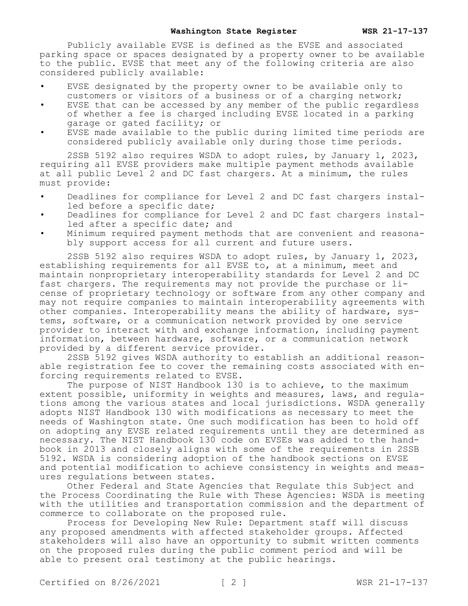Publicly available EVSE is defined as the EVSE and associated parking space or spaces designated by a property owner to be available to the public. EVSE that meet any of the following criteria are also considered publicly available:

- EVSE designated by the property owner to be available only to customers or visitors of a business or of a charging network;
- EVSE that can be accessed by any member of the public regardless of whether a fee is charged including EVSE located in a parking garage or gated facility; or
- EVSE made available to the public during limited time periods are considered publicly available only during those time periods.

2SSB 5192 also requires WSDA to adopt rules, by January 1, 2023, requiring all EVSE providers make multiple payment methods available at all public Level 2 and DC fast chargers. At a minimum, the rules must provide:

- Deadlines for compliance for Level 2 and DC fast chargers installed before a specific date;
- Deadlines for compliance for Level 2 and DC fast chargers installed after a specific date; and
- Minimum required payment methods that are convenient and reasonably support access for all current and future users.

2SSB 5192 also requires WSDA to adopt rules, by January 1, 2023, establishing requirements for all EVSE to, at a minimum, meet and maintain nonproprietary interoperability standards for Level 2 and DC fast chargers. The requirements may not provide the purchase or license of proprietary technology or software from any other company and may not require companies to maintain interoperability agreements with other companies. Interoperability means the ability of hardware, systems, software, or a communication network provided by one service provider to interact with and exchange information, including payment information, between hardware, software, or a communication network provided by a different service provider.

2SSB 5192 gives WSDA authority to establish an additional reasonable registration fee to cover the remaining costs associated with enforcing requirements related to EVSE.

The purpose of NIST Handbook 130 is to achieve, to the maximum extent possible, uniformity in weights and measures, laws, and regulations among the various states and local jurisdictions. WSDA generally adopts NIST Handbook 130 with modifications as necessary to meet the needs of Washington state. One such modification has been to hold off on adopting any EVSE related requirements until they are determined as necessary. The NIST Handbook 130 code on EVSEs was added to the handbook in 2013 and closely aligns with some of the requirements in 2SSB 5192. WSDA is considering adoption of the handbook sections on EVSE and potential modification to achieve consistency in weights and measures regulations between states.

Other Federal and State Agencies that Regulate this Subject and the Process Coordinating the Rule with These Agencies: WSDA is meeting with the utilities and transportation commission and the department of commerce to collaborate on the proposed rule.

Process for Developing New Rule: Department staff will discuss any proposed amendments with affected stakeholder groups. Affected stakeholders will also have an opportunity to submit written comments on the proposed rules during the public comment period and will be able to present oral testimony at the public hearings.